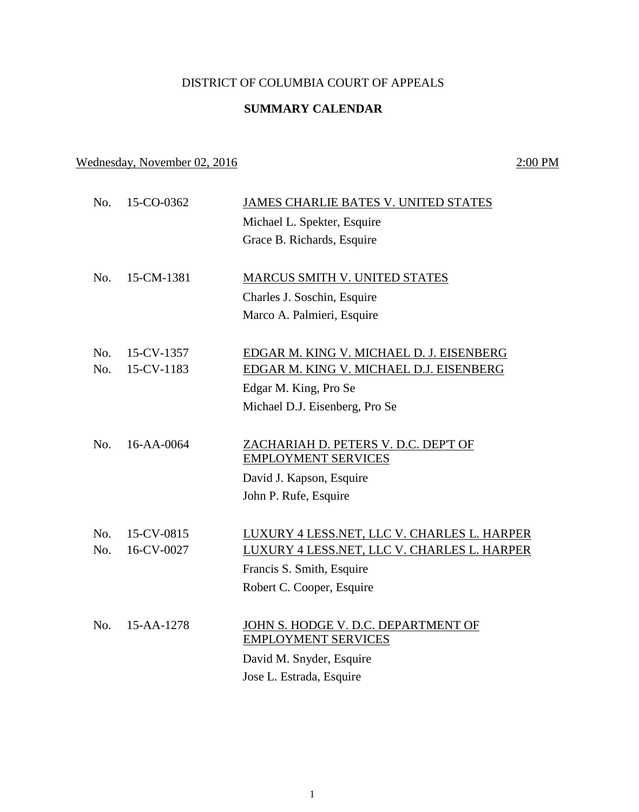## DISTRICT OF COLUMBIA COURT OF APPEALS

## **SUMMARY CALENDAR**

# Wednesday, November 02, 2016 2:00 PM

| No. | 15-CO-0362       | JAMES CHARLIE BATES V. UNITED STATES        |
|-----|------------------|---------------------------------------------|
|     |                  | Michael L. Spekter, Esquire                 |
|     |                  | Grace B. Richards, Esquire                  |
| No. | 15-CM-1381       | <b>MARCUS SMITH V. UNITED STATES</b>        |
|     |                  | Charles J. Soschin, Esquire                 |
|     |                  | Marco A. Palmieri, Esquire                  |
|     |                  |                                             |
| No. | 15-CV-1357       | EDGAR M. KING V. MICHAEL D. J. EISENBERG    |
| No. | 15-CV-1183       | EDGAR M. KING V. MICHAEL D.J. EISENBERG     |
|     |                  | Edgar M. King, Pro Se                       |
|     |                  | Michael D.J. Eisenberg, Pro Se              |
|     |                  |                                             |
| No. | $16 - AA - 0064$ | ZACHARIAH D. PETERS V. D.C. DEP'T OF        |
|     |                  | <b>EMPLOYMENT SERVICES</b>                  |
|     |                  | David J. Kapson, Esquire                    |
|     |                  | John P. Rufe, Esquire                       |
|     |                  |                                             |
| No. | 15-CV-0815       | LUXURY 4 LESS.NET, LLC V. CHARLES L. HARPER |
| No. | 16-CV-0027       | LUXURY 4 LESS.NET, LLC V. CHARLES L. HARPER |
|     |                  | Francis S. Smith, Esquire                   |
|     |                  | Robert C. Cooper, Esquire                   |
|     |                  |                                             |
| No. | $15-AA-1278$     | JOHN S. HODGE V. D.C. DEPARTMENT OF         |
|     |                  | <b>EMPLOYMENT SERVICES</b>                  |
|     |                  | David M. Snyder, Esquire                    |
|     |                  | Jose L. Estrada, Esquire                    |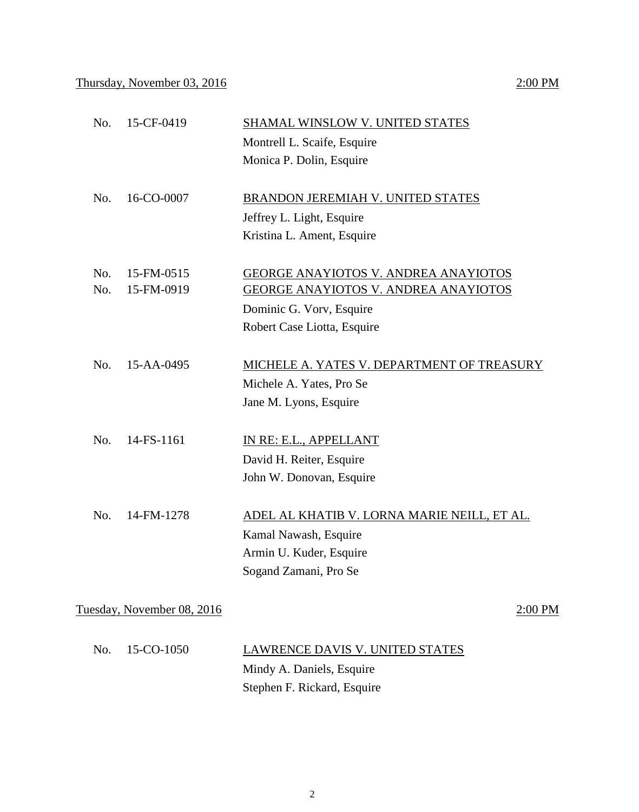# No. 15-CF-0419 **SHAMAL WINSLOW V. UNITED STATES** Montrell L. Scaife, Esquire Monica P. Dolin, Esquire No. 16-CO-0007 BRANDON JEREMIAH V. UNITED STATES Jeffrey L. Light, Esquire Kristina L. Ament, Esquire No. 15-FM-0515 GEORGE ANAYIOTOS V. ANDREA ANAYIOTOS No. 15-FM-0919 GEORGE ANAYIOTOS V. ANDREA ANAYIOTOS Dominic G. Vorv, Esquire Robert Case Liotta, Esquire No. 15-AA-0495 MICHELE A. YATES V. DEPARTMENT OF TREASURY Michele A. Yates, Pro Se Jane M. Lyons, Esquire No. 14-FS-1161 IN RE: E.L., APPELLANT David H. Reiter, Esquire John W. Donovan, Esquire No. 14-FM-1278 ADEL AL KHATIB V. LORNA MARIE NEILL, ET AL. Kamal Nawash, Esquire Armin U. Kuder, Esquire Sogand Zamani, Pro Se Tuesday, November 08, 2016 2:00 PM No. 15-CO-1050 LAWRENCE DAVIS V. UNITED STATES Mindy A. Daniels, Esquire Stephen F. Rickard, Esquire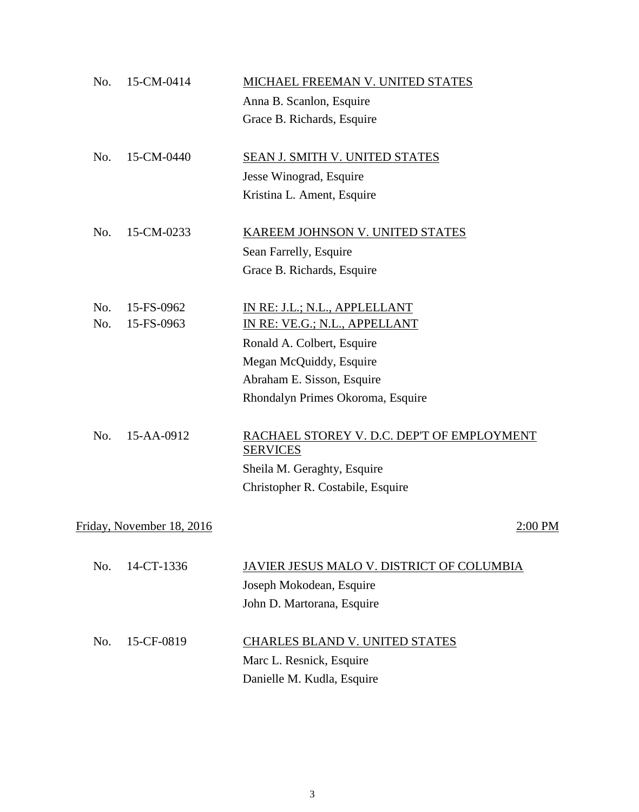| No. | 15-CM-0414                | MICHAEL FREEMAN V. UNITED STATES                              |
|-----|---------------------------|---------------------------------------------------------------|
|     |                           | Anna B. Scanlon, Esquire                                      |
|     |                           | Grace B. Richards, Esquire                                    |
| No. | 15-CM-0440                | SEAN J. SMITH V. UNITED STATES                                |
|     |                           | Jesse Winograd, Esquire                                       |
|     |                           | Kristina L. Ament, Esquire                                    |
| No. | 15-CM-0233                | <b>KAREEM JOHNSON V. UNITED STATES</b>                        |
|     |                           | Sean Farrelly, Esquire                                        |
|     |                           | Grace B. Richards, Esquire                                    |
| No. | 15-FS-0962                | IN RE: J.L.; N.L., APPLELLANT                                 |
| No. | 15-FS-0963                | IN RE: VE.G.; N.L., APPELLANT                                 |
|     |                           | Ronald A. Colbert, Esquire                                    |
|     |                           | Megan McQuiddy, Esquire                                       |
|     |                           | Abraham E. Sisson, Esquire                                    |
|     |                           | Rhondalyn Primes Okoroma, Esquire                             |
| No. | 15-AA-0912                | RACHAEL STOREY V. D.C. DEP'T OF EMPLOYMENT<br><b>SERVICES</b> |
|     |                           | Sheila M. Geraghty, Esquire                                   |
|     |                           | Christopher R. Costabile, Esquire                             |
|     | Friday, November 18, 2016 | <u>2:00 PM</u>                                                |
| No. | 14-CT-1336                | <u>JAVIER JESUS MALO V. DISTRICT OF COLUMBIA</u>              |
|     |                           | Joseph Mokodean, Esquire                                      |
|     |                           | John D. Martorana, Esquire                                    |
| No. | 15-CF-0819                | CHARLES BLAND V. UNITED STATES                                |
|     |                           | Marc L. Resnick, Esquire                                      |
|     |                           | Danielle M. Kudla, Esquire                                    |